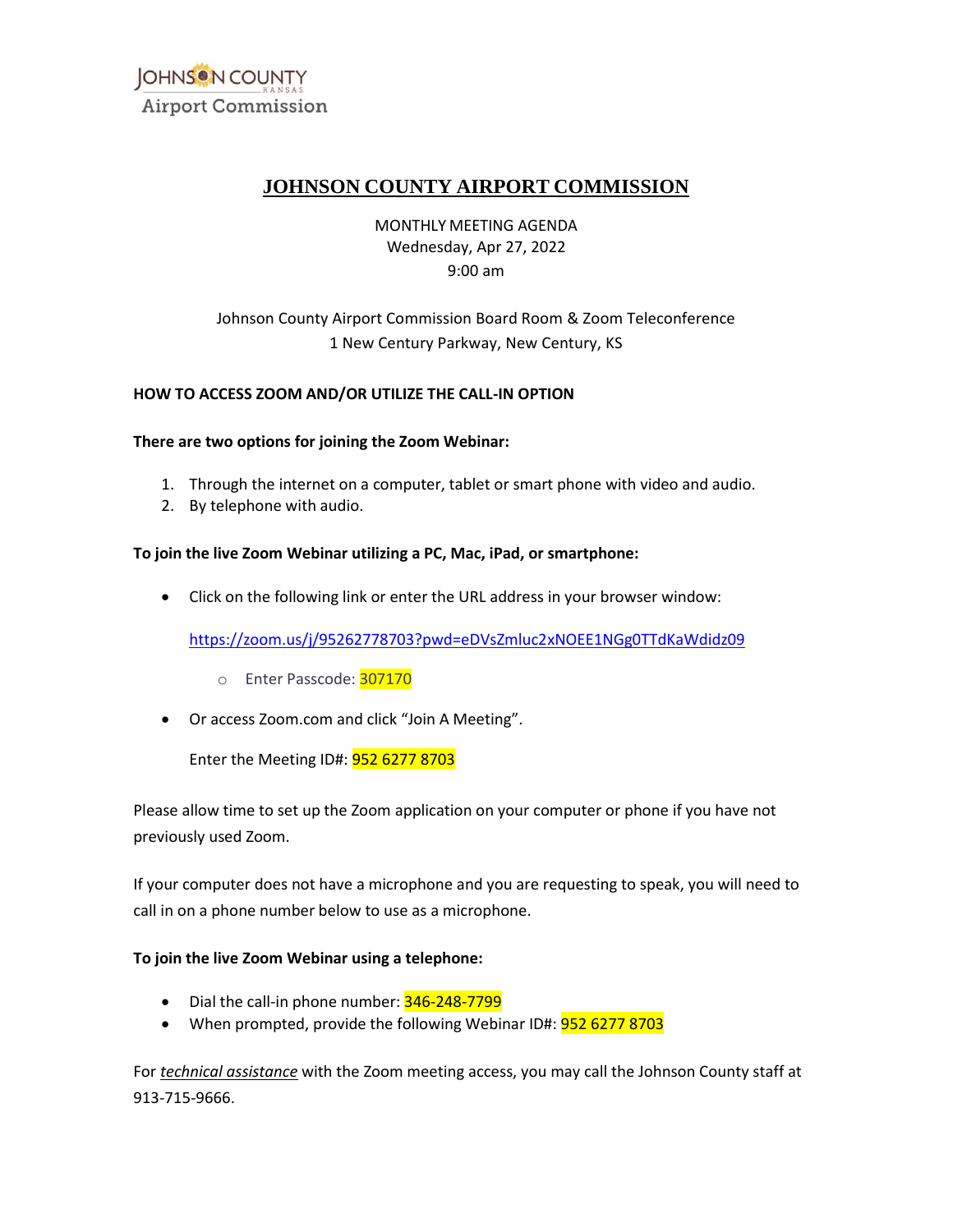

# **JOHNSON COUNTY AIRPORT COMMISSION**

## MONTHLY MEETING AGENDA Wednesday, Apr 27, 2022 9:00 am

# Johnson County Airport Commission Board Room & Zoom Teleconference 1 New Century Parkway, New Century, KS

## **HOW TO ACCESS ZOOM AND/OR UTILIZE THE CALL-IN OPTION**

#### **There are two options for joining the Zoom Webinar:**

- 1. Through the internet on a computer, tablet or smart phone with video and audio.
- 2. By telephone with audio.

## **To join the live Zoom Webinar utilizing a PC, Mac, iPad, or smartphone:**

• Click on the following link or enter the URL address in your browser window:

https://zoom.us/j/95262778703?pwd=eDVsZmluc2xNOEE1NGg0TTdKaWdidz09<br>
o Enter Passcode: <mark>307170</mark><br>Or access Zoom.com and click "Join A Meeting".

- o Enter Passcode: 307170
- Or access [Zoom.com](https://Zoom.com) and click "Join A Meeting".

Enter the Meeting ID#: 952 6277 8703

 Please allow time to set up the Zoom application on your computer or phone if you have not previously used Zoom.

 If your computer does not have a microphone and you are requesting to speak, you will need to call in on a phone number below to use as a microphone.

### **To join the live Zoom Webinar using a telephone:**

- Dial the call-in phone number: 346-248-7799
- When prompted, provide the following Webinar ID#: **952 6277 8703**

For *technical assistance* with the Zoom meeting access, you may call the Johnson County staff at 913-715-9666.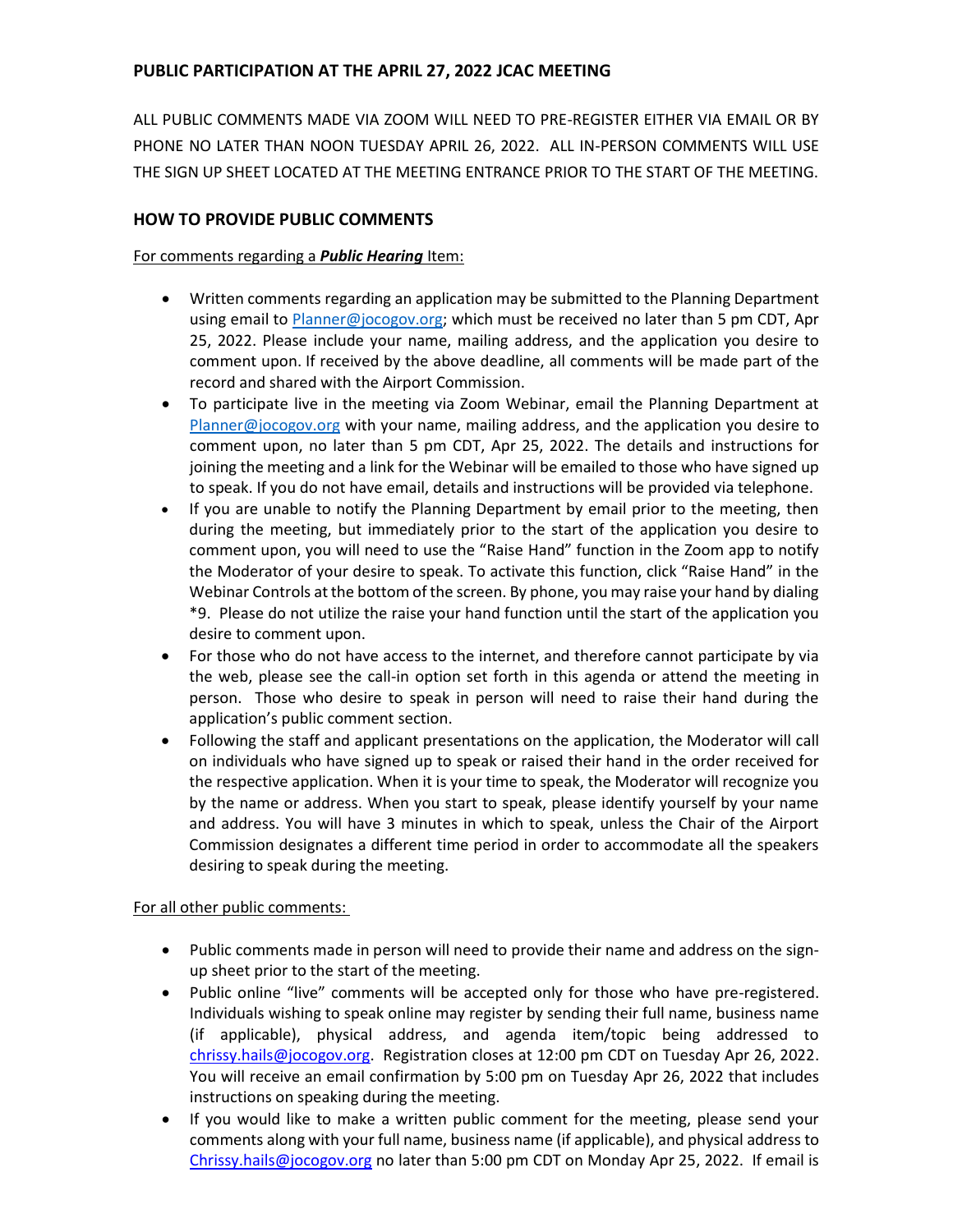## **PUBLIC PARTICIPATION AT THE APRIL 27, 2022 JCAC MEETING**

 ALL PUBLIC COMMENTS MADE VIA ZOOM WILL NEED TO PRE-REGISTER EITHER VIA EMAIL OR BY PHONE NO LATER THAN NOON TUESDAY APRIL 26, 2022. ALL IN-PERSON COMMENTS WILL USE THE SIGN UP SHEET LOCATED AT THE MEETING ENTRANCE PRIOR TO THE START OF THE MEETING.

## **HOW TO PROVIDE PUBLIC COMMENTS**

### For comments regarding a *Public Hearing* Item:

- • Written comments regarding an application may be submitted to the Planning Department using email to *Planner@jocogov.org;* which must be received no later than 5 pm CDT, Apr 25, 2022. Please include your name, mailing address, and the application you desire to comment upon. If received by the above deadline, all comments will be made part of the record and shared with the Airport Commission.
- • To participate live in the meeting via Zoom Webinar, email the Planning Department at [Planner@jocogov.org](mailto:Planner@jocogov.org) with your name, mailing address, and the application you desire to comment upon, no later than 5 pm CDT, Apr 25, 2022. The details and instructions for joining the meeting and a link for the Webinar will be emailed to those who have signed up to speak. If you do not have email, details and instructions will be provided via telephone.
- • If you are unable to notify the Planning Department by email prior to the meeting, then during the meeting, but immediately prior to the start of the application you desire to comment upon, you will need to use the "Raise Hand" function in the Zoom app to notify the Moderator of your desire to speak. To activate this function, click "Raise Hand" in the Webinar Controls at the bottom of the screen. By phone, you may raise your hand by dialing \*9. Please do not utilize the raise your hand function until the start of the application you desire to comment upon.
- • For those who do not have access to the internet, and therefore cannot participate by via the web, please see the call-in option set forth in this agenda or attend the meeting in person. Those who desire to speak in person will need to raise their hand during the application's public comment section.
- • Following the staff and applicant presentations on the application, the Moderator will call on individuals who have signed up to speak or raised their hand in the order received for by the name or address. When you start to speak, please identify yourself by your name and address. You will have 3 minutes in which to speak, unless the Chair of the Airport Commission designates a different time period in order to accommodate all the speakers the respective application. When it is your time to speak, the Moderator will recognize you desiring to speak during the meeting.

## For all other public comments:

- Public comments made in person will need to provide their name and address on the signup sheet prior to the start of the meeting.
- • Public online "live" comments will be accepted only for those who have pre-registered. Individuals wishing to speak online may register by sending their full name, business name (if applicable), physical address, and agenda item/topic being addressed to [chrissy.hails@jocogov.org.](mailto:chrissy.hails@jocogov.org) Registration closes at 12:00 pm CDT on Tuesday Apr 26, 2022. You will receive an email confirmation by 5:00 pm on Tuesday Apr 26, 2022 that includes instructions on speaking during the meeting.
- • If you would like to make a written public comment for the meeting, please send your comments along with your full name, business name (if applicable), and physical address to [Chrissy.hails@jocogov.org](mailto:Chrissy.hails@jocogov.org) no later than 5:00 pm CDT on Monday Apr 25, 2022. If email is